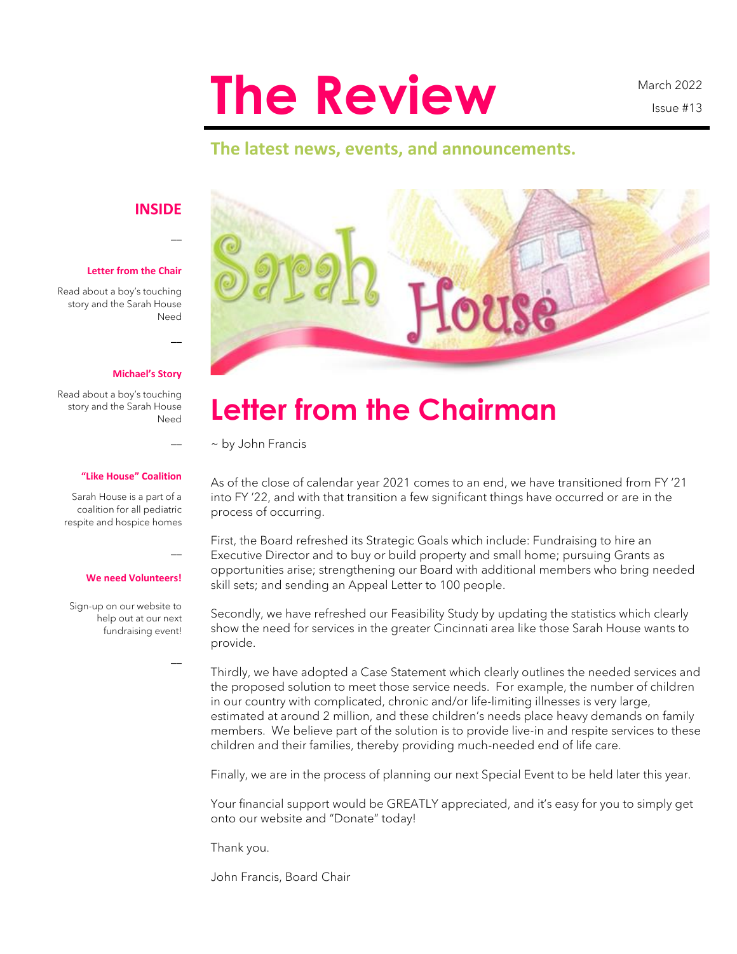# **The Review**

March 2022 Issue #13

### **The latest news, events, and announcements.**

### **INSIDE**

 $\overline{\phantom{a}}$ 

 $\overline{\phantom{a}}$ 

 $\overline{a}$ 

 $\overline{\phantom{a}}$ 

 $\overline{\phantom{a}}$ 

#### **Letter from the Chair**

Read about a boy's touching story and the Sarah House Need

#### **Michael's Story**

Read about a boy's touching story and the Sarah House Need

#### **"Like House" Coalition**

Sarah House is a part of a coalition for all pediatric respite and hospice homes

#### **We need Volunteers!**

Sign-up on our website to help out at our next fundraising event!



## **Letter from the Chairman**

~ by John Francis

As of the close of calendar year 2021 comes to an end, we have transitioned from FY '21 into FY '22, and with that transition a few significant things have occurred or are in the process of occurring.

First, the Board refreshed its Strategic Goals which include: Fundraising to hire an Executive Director and to buy or build property and small home; pursuing Grants as opportunities arise; strengthening our Board with additional members who bring needed skill sets; and sending an Appeal Letter to 100 people.

Secondly, we have refreshed our Feasibility Study by updating the statistics which clearly show the need for services in the greater Cincinnati area like those Sarah House wants to provide.

Thirdly, we have adopted a Case Statement which clearly outlines the needed services and the proposed solution to meet those service needs. For example, the number of children in our country with complicated, chronic and/or life-limiting illnesses is very large, estimated at around 2 million, and these children's needs place heavy demands on family members. We believe part of the solution is to provide live-in and respite services to these children and their families, thereby providing much-needed end of life care.

Finally, we are in the process of planning our next Special Event to be held later this year.

Your financial support would be GREATLY appreciated, and it's easy for you to simply get onto our website and "Donate" today!

Thank you.

John Francis, Board Chair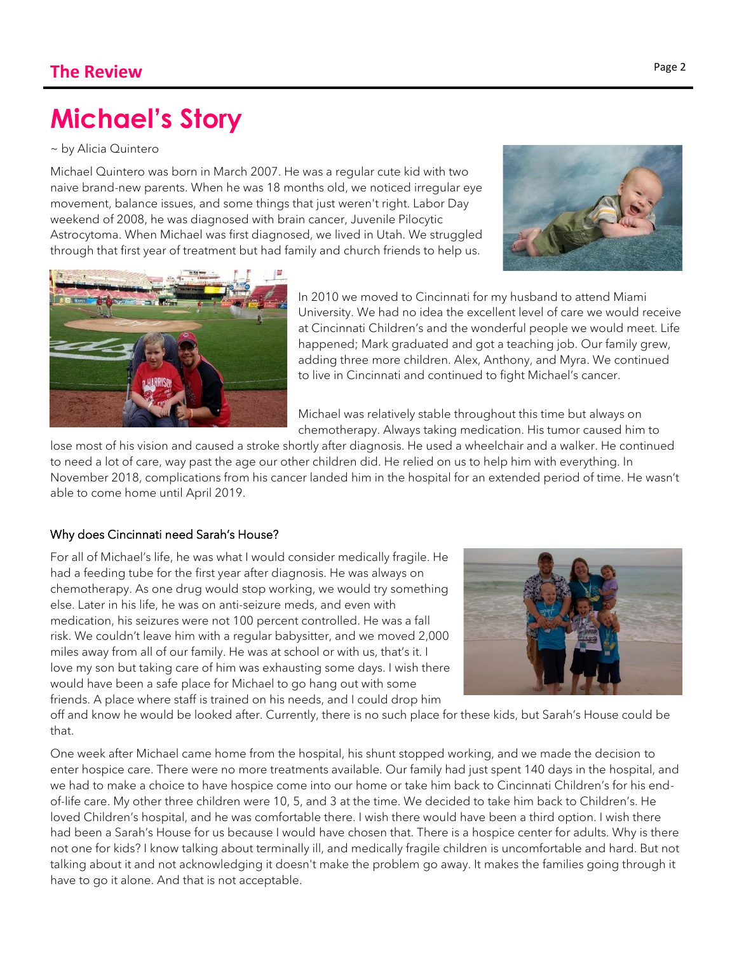# **Michael's Story**

~ by Alicia Quintero

Michael Quintero was born in March 2007. He was a regular cute kid with two naive brand-new parents. When he was 18 months old, we noticed irregular eye movement, balance issues, and some things that just weren't right. Labor Day weekend of 2008, he was diagnosed with brain cancer, Juvenile Pilocytic Astrocytoma. When Michael was first diagnosed, we lived in Utah. We struggled through that first year of treatment but had family and church friends to help us.





In 2010 we moved to Cincinnati for my husband to attend Miami University. We had no idea the excellent level of care we would receive at Cincinnati Children's and the wonderful people we would meet. Life happened; Mark graduated and got a teaching job. Our family grew, adding three more children. Alex, Anthony, and Myra. We continued to live in Cincinnati and continued to fight Michael's cancer.

Michael was relatively stable throughout this time but always on chemotherapy. Always taking medication. His tumor caused him to

lose most of his vision and caused a stroke shortly after diagnosis. He used a wheelchair and a walker. He continued to need a lot of care, way past the age our other children did. He relied on us to help him with everything. In November 2018, complications from his cancer landed him in the hospital for an extended period of time. He wasn't able to come home until April 2019.

### Why does Cincinnati need Sarah's House?

For all of Michael's life, he was what I would consider medically fragile. He had a feeding tube for the first year after diagnosis. He was always on chemotherapy. As one drug would stop working, we would try something else. Later in his life, he was on anti-seizure meds, and even with medication, his seizures were not 100 percent controlled. He was a fall risk. We couldn't leave him with a regular babysitter, and we moved 2,000 miles away from all of our family. He was at school or with us, that's it. I love my son but taking care of him was exhausting some days. I wish there would have been a safe place for Michael to go hang out with some friends. A place where staff is trained on his needs, and I could drop him



off and know he would be looked after. Currently, there is no such place for these kids, but Sarah's House could be that.

One week after Michael came home from the hospital, his shunt stopped working, and we made the decision to enter hospice care. There were no more treatments available. Our family had just spent 140 days in the hospital, and we had to make a choice to have hospice come into our home or take him back to Cincinnati Children's for his endof-life care. My other three children were 10, 5, and 3 at the time. We decided to take him back to Children's. He loved Children's hospital, and he was comfortable there. I wish there would have been a third option. I wish there had been a Sarah's House for us because I would have chosen that. There is a hospice center for adults. Why is there not one for kids? I know talking about terminally ill, and medically fragile children is uncomfortable and hard. But not talking about it and not acknowledging it doesn't make the problem go away. It makes the families going through it have to go it alone. And that is not acceptable.